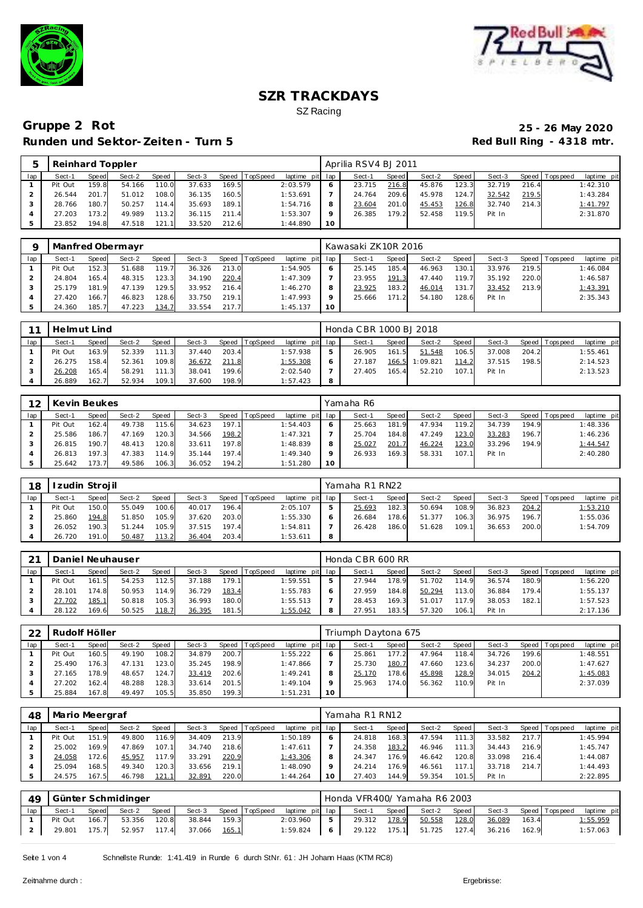



# **Gruppe 2 Rot 25 - 26 May 2020 Runden und Sektor-Zeiten - Turn 5**

|     | Reinhard Toppler |       |        |        |        |       |          |                 |           | Aprilia RSV4 BJ 2011 |       |        |       |        |       |                 |             |
|-----|------------------|-------|--------|--------|--------|-------|----------|-----------------|-----------|----------------------|-------|--------|-------|--------|-------|-----------------|-------------|
| lap | Sect-1           | Speed | Sect-2 | Speed  | Sect-3 | Speed | TopSpeed | laptime pit lap |           | Sect-1               | Speed | Sect-2 | Speed | Sect-3 |       | Speed Tops peed | laptime pit |
|     | Pit Out          | 159.8 | 54.166 | 110.0  | 37.633 | 169.5 |          | 2:03.579        |           | 23.715               | 216.8 | 45.876 | 123.3 | 32.719 | 216.4 |                 | 1:42.310    |
|     | 26.544           | 201.7 | 51.012 | 108.0  | 36.135 | 160.5 |          | 1:53.691        |           | 24.764               | 209.6 | 45.978 | 124.7 | 32.542 | 219.5 |                 | 1:43.284    |
|     | 28.766           | 180.7 | 50.257 | 114.4  | 35.693 | 189.1 |          | 1:54.716        | 8         | 23.604               | 201.0 | 45.453 | 126.8 | 32.740 | 214.3 |                 | 1:41.797    |
|     | 27.203           | 173.2 | 49.989 | 113.21 | 36.115 | 211.4 |          | 1:53.307        | $\circ$   | 26.385               | 179.2 | 52.458 | 119.5 | Pit In |       |                 | 2:31.870    |
|     | 23.852           | 194.8 | 47.518 | 121.1  | 33.520 | 212.6 |          | 1:44.890        | <b>10</b> |                      |       |        |       |        |       |                 |             |

|     |         |       | Manfred Obermayr |       |        |       |                |                 |              | Kawasaki ZK10R 2016 |       |        |       |        |       |                 |             |
|-----|---------|-------|------------------|-------|--------|-------|----------------|-----------------|--------------|---------------------|-------|--------|-------|--------|-------|-----------------|-------------|
| lap | Sect-1  | Speed | Sect-2           | Speed | Sect-3 |       | Speed TopSpeed | laptime pit lap |              | Sect-1              | Speed | Sect-2 | Speed | Sect-3 |       | Speed Tops peed | laptime pit |
|     | Pit Out | 152.3 | 51.688           | 119.7 | 36.326 | 213.0 |                | 1:54.905        | <sub>o</sub> | 25.145              | 185.4 | 46.963 | 130.1 | 33.976 | 219.5 |                 | 1:46.084    |
|     | 24.804  | 165.4 | 48.315           | 123.3 | 34.190 | 220.4 |                | 1:47.309        |              | 23.955              | 191.3 | 47.440 | 119.7 | 35.192 | 220.0 |                 | 1:46.587    |
|     | 25.179  | 181.9 | 47.139           | 129.5 | 33.952 | 216.4 |                | 1:46.270        |              | 23.925              | 183.2 | 46.014 | 131.7 | 33.452 | 213.9 |                 | 1:43.391    |
|     | 27.420  | 166.7 | 46.823           | 128.6 | 33.750 | 219.1 |                | 1:47.993        |              | 25.666              | 171.2 | 54.180 | 128.6 | Pit In |       |                 | 2:35.343    |
|     | 24.360  | 185.7 | 47.223           | 134.7 | 33.554 | 217.7 |                | 1:45.137        | 10           |                     |       |        |       |        |       |                 |             |

|     | Helmut Lind |       |        |       |        |       |                |                 |    | Honda CBR 1000 BJ 2018 |       |                |         |        |       |                 |             |
|-----|-------------|-------|--------|-------|--------|-------|----------------|-----------------|----|------------------------|-------|----------------|---------|--------|-------|-----------------|-------------|
| lap | Sect-1      | Speed | Sect-2 | Speed | Sect-3 |       | Speed TopSpeed | laptime pit lap |    | Sect-1                 | Speed | Sect-2         | Speed I | Sect-3 |       | Speed Tops peed | laptime pit |
|     | Pit Out     | 163.9 | 52.339 | 111.3 | 37.440 | 203.4 |                | 1:57.938        | 5  | 26.905                 | 161.5 | 51.548         | 106.5   | 37.008 | 204.2 |                 | 1:55.461    |
|     | 26.275      | 158.4 | 52.361 | 109.8 | 36.672 | 211.8 |                | 1:55.308        | 6  | 27.187                 |       | 166.5 1:09.821 | 114.2   | 37.515 | 198.5 |                 | 2:14.523    |
|     | 26.208      | 165.4 | 58.291 | 111.3 | 38.041 | 199.6 |                | 2:02.540        |    | 27.405                 | 165.4 | 52.210         | 107.1   | Pit In |       |                 | 2:13.523    |
|     | 26.889      | 162.7 | 52.934 | 109.1 | 37.600 | 198.9 |                | 1:57.423        | -8 |                        |       |                |         |        |       |                 |             |

| 12  | Kevin Beukes |       |        |       |        |       |                |             |     | Yamaha R6 |       |        |       |        |       |                 |             |
|-----|--------------|-------|--------|-------|--------|-------|----------------|-------------|-----|-----------|-------|--------|-------|--------|-------|-----------------|-------------|
| lap | Sect-1       | Speed | Sect-2 | Speed | Sect-3 |       | Speed TopSpeed | laptime pit | lap | Sect-1    | Speed | Sect-2 | Speed | Sect-3 |       | Speed Tops peed | laptime pit |
|     | Pit Out      | 162.4 | 49.738 | 115.6 | 34.623 | 197.1 |                | 1:54.403    | 6   | 25.663    | 181.9 | 47.934 | 119.2 | 34.739 | 194.9 |                 | 1:48.336    |
|     | 25.586       | 186.7 | 47.169 | 120.3 | 34.566 | 198.2 |                | 1:47.321    |     | 25.704    | 184.8 | 47.249 | 123.0 | 33.283 | 196.7 |                 | 1:46.236    |
|     | 26.815       | 190.7 | 48.413 | 120.8 | 33.611 | 197.8 |                | 1:48.839    | 8   | 25.027    | 201.7 | 46.224 | 123.0 | 33.296 | 194.9 |                 | 1:44.547    |
|     | 26.813       | 197.3 | 47.383 | 114.9 | 35.144 | 197.4 |                | 1:49.340    | Q   | 26.933    | 169.3 | 58.331 | 107.1 | Pit In |       |                 | 2:40.280    |
|     | 25.642       | 73.7  | 49.586 | 106.3 | 36.052 | 194.2 |                | 1:51.280    | 10  |           |       |        |       |        |       |                 |             |

| 18  |         | Izudin Strojil |        |       |        |       |                |             |              | Yamaha R1 RN22 |       |        |       |        |       |                 |             |
|-----|---------|----------------|--------|-------|--------|-------|----------------|-------------|--------------|----------------|-------|--------|-------|--------|-------|-----------------|-------------|
| lap | Sect-1  | Speed          | Sect-2 | Speed | Sect-3 |       | Speed TopSpeed | laptime pit | lap          | Sect-1         | Speed | Sect-2 | Speed | Sect-3 |       | Speed Tops peed | laptime pit |
|     | Pit Out | 150.0          | 55.049 | 100.6 | 40.017 | 196.4 |                | 2:05.107    | ь            | 25.693         | 182.3 | 50.694 | 108.9 | 36.823 | 204.2 |                 | 1:53.210    |
|     | 25.860  | 194.8          | 51.850 | 105.9 | 37.620 | 203.0 |                | 1:55.330    | <sub>o</sub> | 26.684         | 178.6 | 51.377 | 106.3 | 36.975 | 196.7 |                 | 1:55.036    |
|     | 26.052  | 190.3          | 51.244 | 105.9 | 37.515 | 197.4 |                | 1:54.811    |              | 26.428         | 186.0 | 51.628 | 109.1 | 36.653 | 200.0 |                 | 1:54.709    |
|     | 26.720  | 191.0          | 50.487 | 113.2 | 36.404 | 203.4 |                | 1:53.611    | 8            |                |       |        |       |        |       |                 |             |

| $\bigcap$ | Daniel Neuhauser |       |        |        |        |       |                |                 |   | Honda CBR 600 RR |       |        |       |        |       |                |             |
|-----------|------------------|-------|--------|--------|--------|-------|----------------|-----------------|---|------------------|-------|--------|-------|--------|-------|----------------|-------------|
| lap       | Sect-1           | Speed | Sect-2 | Speed  | Sect-3 |       | Speed TopSpeed | laptime pit lap |   | Sect-1           | Speed | Sect-2 | Speed | Sect-3 |       | Speed Topspeed | laptime pit |
|           | Pit Out          | 161.5 | 54.253 | 112.51 | 37.188 | 179.1 |                | 1:59.551        |   | 27.944           | 178.9 | 51.702 | 14.9  | 36.574 | 180.9 |                | 1:56.220    |
|           | 28.101           | 174.8 | 50.953 | 114.9  | 36.729 | 183.4 |                | 1:55.783        |   | 27.959           | 184.8 | 50.294 | 113.0 | 36.884 | 179.4 |                | 1:55.137    |
|           | 27.702           | 185.1 | 50.818 | 105.3  | 36.993 | 180.0 |                | 1:55.513        |   | 28.453           | 169.3 | 51.017 | 179   | 38.053 | 182.1 |                | 1:57.523    |
|           | 28.122           | 169.6 | 50.525 | 118.7  | 36.395 | 181.5 |                | 1:55.042        | 8 | 27.95'           | 183.5 | 57.320 | 106.1 | Pit In |       |                | 2:17.136    |

| 22  | Rudolf Höller |       |        |       |        |       |                  |             |     | Triumph Daytona 675 |       |        |       |        |       |                   |             |
|-----|---------------|-------|--------|-------|--------|-------|------------------|-------------|-----|---------------------|-------|--------|-------|--------|-------|-------------------|-------------|
| lap | Sect-1        | Speed | Sect-2 | Speed | Sect-3 |       | Speed   TopSpeed | laptime pit | lap | Sect-1              | Speed | Sect-2 | Speed | Sect-3 |       | Speed   Tops peed | laptime pit |
|     | Pit Out       | 160.5 | 49.190 | 108.2 | 34.879 | 200.7 |                  | 1:55.222    | 6   | 25.861              | 177.2 | 47.964 | 118.4 | 34.726 | 199.6 |                   | 1:48.551    |
|     | 25.490        | 176.3 | 47.131 | 123.0 | 35.245 | 198.9 |                  | 1:47.866    |     | 25.730              | 180.7 | 47.660 | 123.6 | 34.237 | 200.0 |                   | 1:47.627    |
|     | 27.165        | 178.9 | 48.657 | 124.7 | 33.419 | 202.6 |                  | 1:49.241    | 8   | 25.170              | 178.6 | 45.898 | 128.9 | 34.015 | 204.2 |                   | 1:45.083    |
|     | 27.202        | 162.4 | 48.288 | 128.3 | 33.614 | 201.5 |                  | 1:49.104    | Q   | 25.963              | 174.0 | 56.362 | 110.9 | Pit In |       |                   | 2:37.039    |
|     | 25.884        | 167.8 | 49.497 | 105.5 | 35.850 | 199.3 |                  | 1:51.231    | 10  |                     |       |        |       |        |       |                   |             |

| 48  | Mario Meergraf |       |        |       |        |       |          |                 |    | Yamaha R1 RN12 |       |        |       |        |       |                   |             |
|-----|----------------|-------|--------|-------|--------|-------|----------|-----------------|----|----------------|-------|--------|-------|--------|-------|-------------------|-------------|
| lap | Sect-1         | Speed | Sect-2 | Speed | Sect-3 | Speed | TopSpeed | laptime pit lap |    | Sect-1         | Speed | Sect-2 | Speed | Sect-3 |       | Speed   Tops peed | laptime pit |
|     | Pit Out        | 151.9 | 49.800 | 116.9 | 34.409 | 213.9 |          | 1:50.189        |    | 24.818         | 168.3 | 47.594 | 111.3 | 33.582 | 217.7 |                   | 1:45.994    |
|     | 25.002         | 169.9 | 47.869 | 107.1 | 34.740 | 218.6 |          | 1:47.611        |    | 24.358         | 183.2 | 46.946 | 111.3 | 34.443 | 216.9 |                   | 1:45.747    |
|     | 24.058         | 172.6 | 45.957 | 117.9 | 33.291 | 220.9 |          | 1:43.306        |    | 24.347         | 176.9 | 46.642 | 120.8 | 33.098 | 216.4 |                   | 1:44.087    |
|     | 25.094         | 168.5 | 49.340 | 120.3 | 33.656 | 219.1 |          | 1:48.090        |    | 24.214         | 176.9 | 46.561 | 117.1 | 33.718 | 214.7 |                   | 1:44.493    |
|     | 24.575         | 167.5 | 46.798 | 121.1 | 32.891 | 220.0 |          | 1:44.264        | 10 | 27.403         | 144.9 | 59.354 | 101.5 | Pit In |       |                   | 2:22.895    |

| 49     |         |       | Günter Schmidinger |       |        |       |                |                 |    | Honda VFR400/ Yamaha R6 2003 |       |        |       |        |       |                 |             |
|--------|---------|-------|--------------------|-------|--------|-------|----------------|-----------------|----|------------------------------|-------|--------|-------|--------|-------|-----------------|-------------|
| $I$ ap | Sect-1  | Speed | Sect-2             | Speed | Sect-3 |       | Speed TopSpeed | laptime pit lap |    | Sect-1                       | Speed | Sect-2 | Speed | Sect-3 |       | Speed Tops peed | laptime pit |
|        | Pit Out | 166.7 | 53.356             | 120.8 | 38.844 | 159.3 |                | 2:03.960        |    | 29.312                       | 178.9 | 50.558 | 128.0 | 36.089 | 163.4 |                 | 1:55.959    |
|        | 29.801  | 175.7 | 52.957             | 117.4 | 37.066 | 165.1 |                | 1:59.824        | 61 | 29.122                       | 175.1 | 51.725 | 127.4 | 36.216 | 162.9 |                 | 1:57.063    |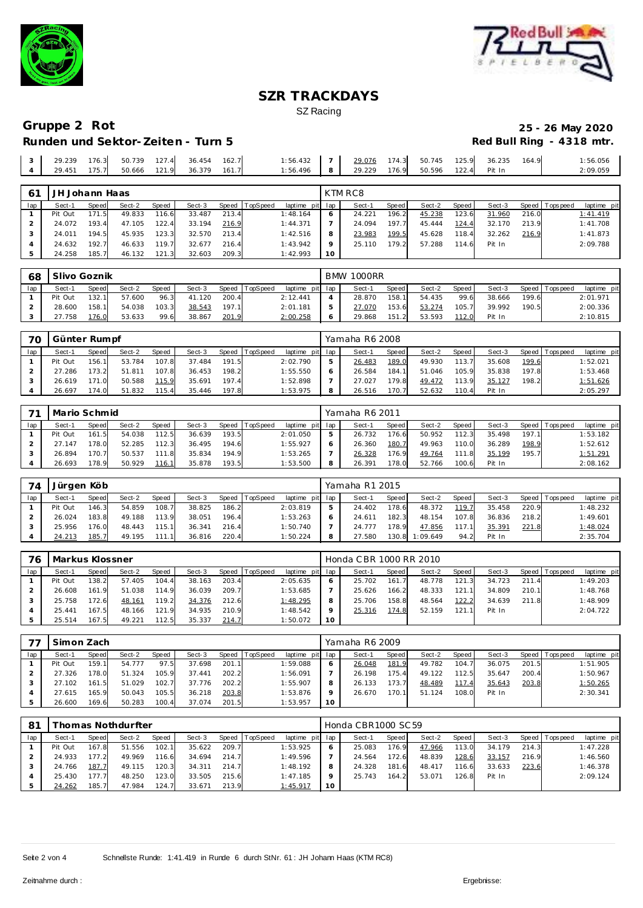



## **Gruppe 2 Rot 25 - 26 May 2020 Runden und Sektor-Zeiten - Turn 5**

| 29.239 | 176.3 | 50.739 | 127.4 | 36.454 | 162.7 | :56.432  | 29.076 | 174.3 | 50.745 | 125.9 | 36.235 | 164.9 | :56.056  |
|--------|-------|--------|-------|--------|-------|----------|--------|-------|--------|-------|--------|-------|----------|
| 29.451 | 175.7 | 50.666 | 121.9 | 36.379 | 161.7 | : 56.496 | 29.229 | 176.9 | 50.596 | 122.4 | Pit In |       | 2:09.059 |

| 6 <sup>1</sup> | JH Johann Haas |       |        |        |        |       |          |                 |         | KTM RC8 |       |        |       |        |       |                |             |
|----------------|----------------|-------|--------|--------|--------|-------|----------|-----------------|---------|---------|-------|--------|-------|--------|-------|----------------|-------------|
| lap            | Sect-1         | Speed | Sect-2 | Speed  | Sect-3 | Speed | TopSpeed | laptime pit lap |         | Sect-1  | Speed | Sect-2 | Speed | Sect-3 |       | Speed Topspeed | laptime pit |
|                | Pit Out        | 171.5 | 49.833 | 116.6  | 33.487 | 213.4 |          | 1:48.164        |         | 24.221  | 196.2 | 45.238 | 123.6 | 31.960 | 216.0 |                | 1:41.419    |
|                | 24.072         | 193.4 | 47.105 | 122.4  | 33.194 | 216.9 |          | 1:44.371        |         | 24.094  | 197.7 | 45.444 | 124.4 | 32.170 | 213.9 |                | 1:41.708    |
|                | 24.011         | 194.5 | 45.935 | 123.3  | 32.570 | 213.4 |          | 1:42.516        | 8       | 23.983  | 199.5 | 45.628 | 118.4 | 32.262 | 216.9 |                | 1:41.873    |
|                | 24.632         | 192.7 | 46.633 | 119.71 | 32.677 | 216.4 |          | 1:43.942        | $\circ$ | 25.110  | 179.2 | 57.288 | 114.6 | Pit In |       |                | 2:09.788    |
|                | 24.258         | 185.7 | 46.132 | 121.3  | 32.603 | 209.3 |          | 1:42.993        | 10      |         |       |        |       |        |       |                |             |

| 68  | Slivo Goznik |       |        |              |        |       |          |                 |   | <b>BMW 1000RR</b> |       |        |       |        |       |                 |             |
|-----|--------------|-------|--------|--------------|--------|-------|----------|-----------------|---|-------------------|-------|--------|-------|--------|-------|-----------------|-------------|
| lap | Sect-1       | Speed | Sect-2 | <b>Speed</b> | Sect-3 | Speed | TopSpeed | laptime pit lap |   | Sect-1            | Speed | Sect-2 | Speed | Sect-3 |       | Speed Tops peed | laptime pit |
|     | Pit Out      | 132.1 | 57.600 | 96.3         | 41.120 | 200.4 |          | 2:12.441        |   | 28.870            | 158.1 | 54.435 | 99.6  | 38.666 | 199.6 |                 | 2:01.971    |
|     | 28.600       | 158.1 | 54.038 | 103.3        | 38.543 | 197.1 |          | 2:01.181        |   | 27.070            | 153.6 | 53.274 | 105.7 | 39.992 | 190.5 |                 | 2:00.336    |
|     | 27.758       | 176.0 | 53.633 | 99.6         | 38.867 | 201.9 |          | 2:00.258        | O | 29.868            | 151.2 | 53.593 | 112.0 | Pit In |       |                 | 2:10.815    |

| 70  | Günter Rumpf |        |        |       |        |       |                |                 | Yamaha R6 2008 |                    |        |       |        |       |                 |             |
|-----|--------------|--------|--------|-------|--------|-------|----------------|-----------------|----------------|--------------------|--------|-------|--------|-------|-----------------|-------------|
| lap | Sect-1       | Speed  | Sect-2 | Speed | Sect-3 |       | Speed TopSpeed | laptime pit lap | Sect-1         | Speed              | Sect-2 | Speed | Sect-3 |       | Speed Tops peed | laptime pit |
|     | Pit Out      | 156.11 | 53.784 | 107.8 | 37.484 | 191.5 |                | 2:02.790        | 26.483         | 189.0              | 49.930 | 113.7 | 35.608 | 199.6 |                 | 1:52.021    |
|     | 27.286       | 173.2  | 51.811 | 107.8 | 36.453 | 198.2 |                | 1:55.550        | 26.584         | 184.1              | 51.046 | 105.9 | 35.838 | 197.8 |                 | 1:53.468    |
|     | 26.619       | 171.0  | 50.588 | 115.9 | 35.691 | 197.4 |                | 1:52.898        | 27.027         | 179.8              | 49.472 | 113.9 | 35.127 | 198.2 |                 | 1:51.626    |
|     | 26.697       | 174.0  | 51.832 | 115.4 | 35.446 | 197.8 |                | 1:53.975        | 26.516         | 170.7 <sub>1</sub> | 52.632 | 110.4 | Pit In |       |                 | 2:05.297    |

|     | Mario Schmid |              |        |       |        |       |          |                 | Yamaha R6 2011 |         |        |           |        |       |                 |             |
|-----|--------------|--------------|--------|-------|--------|-------|----------|-----------------|----------------|---------|--------|-----------|--------|-------|-----------------|-------------|
| lap | Sect-1       | <b>Speed</b> | Sect-2 | Speed | Sect-3 | Speed | TopSpeed | laptime pit lap | Sect-1         | Speed I | Sect-2 | Speed     | Sect-3 |       | Speed Tops peed | laptime pit |
|     | Pit Out      | 161.5        | 54.038 | 112.5 | 36.639 | 193.5 |          | 2:01.050        | 26.732         | 176.6   | 50.952 | 112.3     | 35.498 | 197.1 |                 | 1:53.182    |
|     | 27.147       | 178.0        | 52.285 | 112.3 | 36.495 | 194.6 |          | 1:55.927        | 26.360         | 180.7   | 49.963 | 110.0     | 36.289 | 198.9 |                 | 1:52.612    |
|     | 26.894       | 170.7        | 50.537 | 111.8 | 35.834 | 194.9 |          | 1:53.265        | 26.328         | 176.9   | 49.764 | 111<br>.8 | 35.199 | 195.7 |                 | 1:51.291    |
|     | 26.693       | 178.9        | 50.929 | 116.1 | 35.878 | 193.5 |          | 1:53.500        | 26.391         | 178.0   | 52.766 | 100.6     | Pit In |       |                 | 2:08.162    |

| 74  | Jürgen Köb |              |        |              |        |       |                 |             |     | Yamaha R1 2015 |         |          |       |        |       |                 |             |
|-----|------------|--------------|--------|--------------|--------|-------|-----------------|-------------|-----|----------------|---------|----------|-------|--------|-------|-----------------|-------------|
| lap | Sect-1     | <b>Speed</b> | Sect-2 | <b>Speed</b> | Sect-3 | Speed | <b>TopSpeed</b> | laptime pit | lap | Sect-1         | Speed I | Sect-2   | Speed | Sect-3 |       | Speed Tops peed | laptime pit |
|     | Pit Out    | 146.3        | 54.859 | 108.7        | 38.825 | 186.2 |                 | 2:03.819    |     | 24.402         | 178.6   | 48.372   | 119.7 | 35.458 | 220.9 |                 | 1:48.232    |
|     | 26.024     | 183.8        | 49.188 | 113.9        | 38.051 | 196.4 |                 | 1:53.263    |     | 24.611         | 182.3   | 48.154   | 107.8 | 36.836 | 218.2 |                 | 1:49.601    |
|     | 25.956     | 176.0        | 48.443 | 115.1        | 36.341 | 216.4 |                 | 1:50.740    |     | 24.777         | 178.9   | 47.856   |       | 35.391 | 221.8 |                 | 1:48.024    |
|     | 24.213     | 185.7        | 49.195 | 111.1        | 36.816 | 220.4 |                 | 1:50.224    |     | 27.580         | 130.8   | 1:09.649 | 94.2  | Pit In |       |                 | 2:35.704    |

| 76  | Markus Klossner |       |        |              |        |       |          |                 |     | Honda CBR 1000 RR 2010 |       |        |       |        |       |                 |             |
|-----|-----------------|-------|--------|--------------|--------|-------|----------|-----------------|-----|------------------------|-------|--------|-------|--------|-------|-----------------|-------------|
| lap | Sect-1          | Speed | Sect-2 | <b>Speed</b> | Sect-3 | Speed | TopSpeed | laptime pit lap |     | Sect-1                 | Speed | Sect-2 | Speed | Sect-3 |       | Speed Tops peed | laptime pit |
|     | Pit Out         | 138.2 | 57.405 | 104.4        | 38.163 | 203.4 |          | 2:05.635        |     | 25.702                 | 161.7 | 48.778 | 121.3 | 34.723 | 211.4 |                 | 1:49.203    |
|     | 26.608          | 161.9 | 51.038 | 114.9        | 36.039 | 209.7 |          | 1:53.685        |     | 25.626                 | 166.2 | 48.333 | 121.1 | 34.809 | 210.1 |                 | 1:48.768    |
|     | 25.758          | 172.6 | 48.161 | 119.2        | 34.376 | 212.6 |          | 1:48.295        |     | 25.706                 | 158.8 | 48.564 | 122.2 | 34.639 | 211.8 |                 | 1:48.909    |
|     | 25.441          | 167.5 | 48.166 | 121.9        | 34.935 | 210.9 |          | 1:48.542        |     | 25.316                 | 174.8 | 52.159 | 121.1 | Pit In |       |                 | 2:04.722    |
|     | 25.514          | 167.5 | 49.221 | 112.5        | 35.337 | 214.7 |          | 1:50.072        | 1 O |                        |       |        |       |        |       |                 |             |

|     | Simon Zach |       |        |       |        |       |                |                 |              | Yamaha R6 2009 |       |        |       |        |       |                |             |
|-----|------------|-------|--------|-------|--------|-------|----------------|-----------------|--------------|----------------|-------|--------|-------|--------|-------|----------------|-------------|
| lap | Sect-1     | Speed | Sect-2 | Speed | Sect-3 |       | Speed TopSpeed | laptime pit lap |              | Sect-1         | Speed | Sect-2 | Speed | Sect-3 |       | Speed Topspeed | laptime pit |
|     | Pit Out    | 159.1 | 54.777 | 97.5  | 37.698 | 201.1 |                | 1:59.088        | <sub>o</sub> | 26.048         | 181.9 | 49.782 | 104.7 | 36.075 | 201.5 |                | 1:51.905    |
|     | 27.326     | 178.0 | 51.324 | 105.9 | 37.441 | 202.2 |                | 1:56.091        |              | 26.198         | 175.4 | 49.122 | 112.5 | 35.647 | 200.4 |                | 1:50.967    |
|     | 27.102     | 161.5 | 51.029 | 102.7 | 37.776 | 202.2 |                | 1:55.907        | 8            | 26.133         | 173.7 | 48.489 | 117.4 | 35.643 | 203.8 |                | 1:50.265    |
|     | 27.615     | 165.9 | 50.043 | 105.5 | 36.218 | 203.8 |                | 1:53.876        |              | 26.670         | 170.1 | 51.124 | 108.0 | Pit In |       |                | 2:30.341    |
|     | 26.600     | 169.6 | 50.283 | 100.4 | 37.074 | 201.5 |                | 1:53.957        | 10           |                |       |        |       |        |       |                |             |

| -81 |         |       | homas Nothdurfter |       |        |       |                |             |     | Honda CBR1000 SC 59 |              |        |       |        |       |                 |             |
|-----|---------|-------|-------------------|-------|--------|-------|----------------|-------------|-----|---------------------|--------------|--------|-------|--------|-------|-----------------|-------------|
| lap | Sect-1  | Speed | Sect-2            | Speed | Sect-3 |       | Speed TopSpeed | laptime pit | lap | Sect-1              | <b>Speed</b> | Sect-2 | Speed | Sect-3 |       | Speed Tops peed | laptime pit |
|     | Pit Out | 167.8 | 51.556            | 102.1 | 35.622 | 209.7 |                | 1:53.925    | 6   | 25.083              | 176.9        | 47.966 | 113.0 | 34.179 | 214.3 |                 | 1:47.228    |
|     | 24.933  | 177.2 | 49.969            | 116.6 | 34.694 | 214.7 |                | 1:49.596    |     | 24.564              | 172.6        | 48.839 | 128.6 | 33.157 | 216.9 |                 | 1:46.560    |
|     | 24.766  | 187.7 | 49.115            | 120.3 | 34.311 | 214.7 |                | 1:48.192    | 8   | 24.328              | 181.6        | 48.417 | 116.6 | 33.633 | 223.6 |                 | 1:46.378    |
|     | 25.430  | 177.7 | 48.250            | 123.0 | 33.505 | 215.6 |                | 1:47.185    | Q   | 25.743              | 164.2        | 53.071 | 126.8 | Pit In |       |                 | 2:09.124    |
|     | 24.262  | 185.7 | 47.984            | 124.7 | 33.671 | 213.9 |                | 1:45.917    | 10  |                     |              |        |       |        |       |                 |             |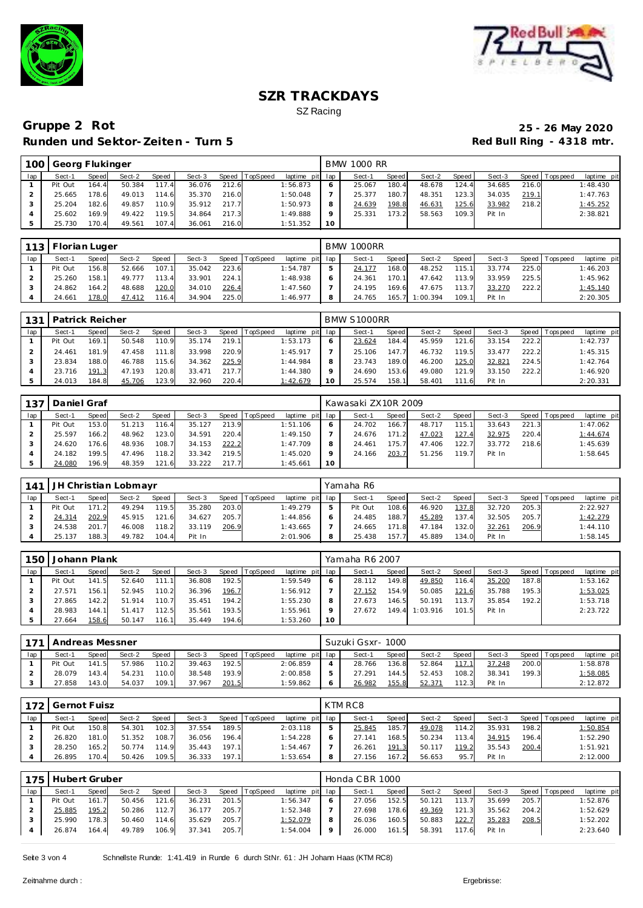



# **Gruppe 2 Rot 25 - 26 May 2020 Runden und Sektor-Zeiten - Turn 5**

|     | 100 Georg Flukinger |              |        |       |        |       |                |                 |         | <b>BMW 1000 RR</b> |       |        |       |        |       |                 |             |
|-----|---------------------|--------------|--------|-------|--------|-------|----------------|-----------------|---------|--------------------|-------|--------|-------|--------|-------|-----------------|-------------|
| lap | Sect-1              | <b>Speed</b> | Sect-2 | Speed | Sect-3 |       | Speed TopSpeed | laptime pit lap |         | Sect-1             | Speed | Sect-2 | Speed | Sect-3 |       | Speed Tops peed | laptime pit |
|     | Pit Out             | 164.4        | 50.384 | 117.4 | 36.076 | 212.6 |                | 1:56.873        | 6       | 25.067             | 180.4 | 48.678 | 124.4 | 34.685 | 216.0 |                 | 1:48.430    |
|     | 25.665              | 178.6        | 49.013 | 114.6 | 35.370 | 216.0 |                | 1:50.048        |         | 25.377             | 180.7 | 48.351 | 123.3 | 34.035 | 219.1 |                 | 1:47.763    |
|     | 25.204              | 182.6        | 49.857 | 110.9 | 35.912 | 217.7 |                | 1:50.973        | 8       | 24.639             | 198.8 | 46.631 | 125.6 | 33.982 | 218.2 |                 | 1:45.252    |
|     | 25.602              | 169.9        | 49.422 | 119.5 | 34.864 | 217.3 |                | 1:49.888        | $\circ$ | 25.331             | 173.2 | 58.563 | 109.3 | Pit In |       |                 | 2:38.821    |
|     | 25.730              | 170.4        | 49.561 | 107.4 | 36.061 | 216.0 |                | 1:51.352        | 10      |                    |       |        |       |        |       |                 |             |

|     | 113   Florian Luger |       |        |       |        |       |                |                 |   | <b>BMW 1000RR</b> |         |                |       |        |       |                |             |
|-----|---------------------|-------|--------|-------|--------|-------|----------------|-----------------|---|-------------------|---------|----------------|-------|--------|-------|----------------|-------------|
| lap | Sect-1              | Speed | Sect-2 | Speed | Sect-3 |       | Speed TopSpeed | laptime pit lap |   | Sect-1            | Speed I | Sect-2         | Speed | Sect-3 |       | Speed Topspeed | laptime pit |
|     | Pit Out             | 156.8 | 52.666 | 107.1 | 35.042 | 223.6 |                | 1:54.787        |   | 24.177            | 168.0   | 48.252         | 115.1 | 33.774 | 225.0 |                | 1:46.203    |
|     | 25.260              | 158.1 | 49.777 | 113.4 | 33.901 | 224.1 |                | 1:48.938        |   | 24.361            | 170.1   | 47.642         | 113.9 | 33.959 | 225.5 |                | 1:45.962    |
|     | 24.862              | 164.2 | 48.688 | 120.0 | 34.010 | 226.4 |                | 1:47.560        |   | 24.195            | 169.6   | 47.675         | 113.7 | 33.270 | 222.2 |                | 1:45.140    |
|     | 24.661              | 178.0 | 47.412 | 116.4 | 34.904 | 225.0 |                | 1:46.977        | 8 | 24.765            |         | 165.7 1:00.394 | 109.1 | Pit In |       |                | 2:20.305    |

| 1311 | <b>Patrick Reicher</b> |       |        |              |        |       |                |                 |         | BMW S1000RR |        |        |       |        |       |                   |             |
|------|------------------------|-------|--------|--------------|--------|-------|----------------|-----------------|---------|-------------|--------|--------|-------|--------|-------|-------------------|-------------|
| lap  | Sect-1                 | Speed | Sect-2 | <b>Speed</b> | Sect-3 |       | Speed TopSpeed | laptime pit lap |         | Sect-1      | Speed  | Sect-2 | Speed | Sect-3 |       | Speed   Tops peed | laptime pit |
|      | Pit Out                | 169.1 | 50.548 | 110.9        | 35.174 | 219.1 |                | 1:53.173        |         | 23.624      | 184.4  | 45.959 | 121.6 | 33.154 | 222.2 |                   | 1:42.737    |
|      | 24.461                 | 181.9 | 47.458 | 111.8        | 33.998 | 220.9 |                | 1:45.917        |         | 25.106      | 147.71 | 46.732 | 119.5 | 33.477 | 222.2 |                   | 1:45.315    |
|      | 23.834                 | 188.0 | 46.788 | 115.6        | 34.362 | 225.9 |                | 1:44.984        | 8       | 23.743      | 189.0  | 46.200 | 125.0 | 32.821 | 224.5 |                   | 1:42.764    |
|      | 23.716                 | 191.3 | 47.193 | 120.8        | 33.471 | 217.7 |                | 1:44.380        | $\circ$ | 24.690      | 153.6  | 49.080 | 121.9 | 33.150 | 222.2 |                   | 1:46.920    |
|      | 24.013                 | 184.8 | 45.706 | 123.9        | 32.960 | 220.4 |                | 1:42.679        | 10      | 25.574      | 158.1  | 58.401 | 111.6 | Pit In |       |                   | 2:20.331    |

| 137 | Daniel Graf |       |        |       |        |       |          |                 |         | Kawasaki ZX10R 2009 |       |        |       |        |       |                |             |
|-----|-------------|-------|--------|-------|--------|-------|----------|-----------------|---------|---------------------|-------|--------|-------|--------|-------|----------------|-------------|
| lap | Sect-1      | Speed | Sect-2 | Speed | Sect-3 | Speed | TopSpeed | laptime pit lap |         | Sect-1              | Speed | Sect-2 | Speed | Sect-3 |       | Speed Topspeed | laptime pit |
|     | Pit Out     | 153.0 | 51.213 | 116.4 | 35.127 | 213.9 |          | 1:51.106        | $\circ$ | 24.702              | 166.7 | 48.717 | 115.1 | 33.643 | 221.3 |                | 1:47.062    |
|     | 25.597      | 166.2 | 48.962 | 123.0 | 34.591 | 220.4 |          | 1:49.150        |         | 24.676              | 171.2 | 47.023 | 127.4 | 32.975 | 220.4 |                | 1:44.674    |
|     | 24.620      | 176.6 | 48.936 | 108.7 | 34.153 | 222.2 |          | 1:47.709        |         | 24.461              | 175.7 | 47.406 | 122.7 | 33.772 | 218.6 |                | 1:45.639    |
|     | 24.182      | 199.5 | 47.496 | 118.2 | 33.342 | 219.5 |          | 1:45.020        |         | 24.166              | 203.7 | 51.256 | 119.7 | Pit In |       |                | 1:58.645    |
|     | 24.080      | 196.9 | 48.359 | 121.6 | 33.222 | 217.7 |          | 1:45.661        | 10      |                     |       |        |       |        |       |                |             |

|     | 141 JH Christian Lobmayr |              |        |       |        |       |                |                 | Yamaha R6 |       |        |         |        |       |                   |             |
|-----|--------------------------|--------------|--------|-------|--------|-------|----------------|-----------------|-----------|-------|--------|---------|--------|-------|-------------------|-------------|
| lap | Sect-1                   | <b>Speed</b> | Sect-2 | Speed | Sect-3 |       | Speed TopSpeed | laptime pit lap | Sect-1    | Speed | Sect-2 | Speed I | Sect-3 |       | Speed   Tops peed | laptime pit |
|     | Pit Out                  | 171.2        | 49.294 | 119.5 | 35.280 | 203.0 |                | 1:49.279        | Pit Out   | 108.6 | 46.920 | 137.8   | 32.720 | 205.3 |                   | 2:22.927    |
|     | 24.314                   | 202.9        | 45.915 | 121.6 | 34.627 | 205.7 |                | 1:44.856        | 24.485    | 188.7 | 45.289 | 137.4   | 32.505 | 205.7 |                   | 1:42.279    |
|     | 24.538                   | 201.7        | 46.008 | 118.2 | 33.119 | 206.9 |                | 1:43.665        | 24.665    | 171.8 | 47.184 | 132.0   | 32.261 | 206.9 |                   | 1:44.110    |
|     | 25.137                   | 188.3        | 49.782 | 104.4 | Pit In |       |                | 2:01.906        | 25.438    | 157.7 | 45.889 | 134.0   | Pit In |       |                   | 1:58.145    |

| 150 | Johann Plank |        |        |        |        |       |          |                 |         | Yamaha R6 2007 |       |          |       |        |       |                |             |
|-----|--------------|--------|--------|--------|--------|-------|----------|-----------------|---------|----------------|-------|----------|-------|--------|-------|----------------|-------------|
| lap | Sect-1       | Speed  | Sect-2 | Speed  | Sect-3 | Speed | TopSpeed | laptime pit lap |         | Sect-1         | Speed | Sect-2   | Speed | Sect-3 |       | Speed Topspeed | laptime pit |
|     | Pit Out      | 141.5  | 52.640 | 111.1  | 36.808 | 192.5 |          | 1:59.549        | O       | 28.112         | 149.8 | 49.850   | 116.4 | 35.200 | 187.8 |                | 1:53.162    |
|     | 27.571       | 156.11 | 52.945 | 110.2  | 36.396 | 196.7 |          | 1:56.912        |         | 27.152         | 154.9 | 50.085   | 121.6 | 35.788 | 195.3 |                | 1:53.025    |
|     | 27.865       | 142.2  | 51.914 | 110.7  | 35.451 | 194.2 |          | 1:55.230        | 8       | 27.673         | 146.5 | 50.191   | 113.7 | 35.854 | 192.2 |                | 1:53.718    |
|     | 28.983       | 144.1  | 51.417 | 112.5  | 35.561 | 193.5 |          | 1:55.961        | $\circ$ | 27.672         | 149.4 | 1:03.916 | 101.5 | Pit In |       |                | 2:23.722    |
|     | 27.664       | 158.6  | 50.147 | 116.11 | 35.449 | 194.6 |          | 1:53.260        | 10      |                |       |          |       |        |       |                |             |

| 171 | Andreas Messner |              |        |              |        |       |          |             |     | Suzuki Gsxr-1000 |              |        |       |        |       |                |                |
|-----|-----------------|--------------|--------|--------------|--------|-------|----------|-------------|-----|------------------|--------------|--------|-------|--------|-------|----------------|----------------|
| lap | Sect-1          | <b>Speed</b> | Sect-2 | <b>Speed</b> | Sect-3 | Speed | TopSpeed | laptime pit | lap | Sect-1           | <b>Speed</b> | Sect-2 | Speed | Sect-3 |       | Speed Topspeed | laptime<br>pit |
|     | Pit Out         | 141.5        | 57.986 | 110.2        | 39.463 | 192.5 |          | 2:06.859    | 4   | 28.766           | 136.8        | 52.864 |       | 37.248 | 200.0 |                | :58.878        |
|     | 28.079          | 143.4        | 54.231 | 110.0        | 38.548 | 193.9 |          | 2:00.858    | ь.  | 27.291           | 144.5        | 52.453 | 108.2 | 38.341 | 199.3 |                | :58.085        |
|     | 27.858          | 143.0        | 54.037 | 109.1        | 37.967 | 201.5 |          | 1:59.862    | 6   | 26.982           | 155.8        | 52.371 | 112.3 | Pit In |       |                | 2:12.872       |

|     | 172   Gernot Fuisz |       |        |              |        |       |                |                 |   | KTM RC8 |       |        |       |        |       |                 |             |
|-----|--------------------|-------|--------|--------------|--------|-------|----------------|-----------------|---|---------|-------|--------|-------|--------|-------|-----------------|-------------|
| lap | Sect-1             | Speed | Sect-2 | <b>Speed</b> | Sect-3 |       | Speed TopSpeed | laptime pit lap |   | Sect-1  | Speed | Sect-2 | Speed | Sect-3 |       | Speed Tops peed | laptime pit |
|     | Pit Out            | 150.8 | 54.301 | 102.3        | 37.554 | 189.5 |                | 2:03.118        |   | 25.845  | 185.  | 49.078 | 114.2 | 35.931 | 198.2 |                 | 1:50.854    |
|     | 26.820             | 181.0 | 51.352 | 108.7        | 36.056 | 196.4 |                | 1:54.228        | O | 27.141  | 168.5 | 50.234 | 113.4 | 34.915 | 196.4 |                 | 1:52.290    |
|     | 28.250             | 165.2 | 50.774 | 114.9        | 35.443 | 197.1 |                | 1:54.467        |   | 26.261  | 191.3 | 50.117 | 119.2 | 35.543 | 200.4 |                 | 1:51.921    |
|     | 26.895             | 170.4 | 50.426 | 109.5        | 36.333 | 197.1 |                | 1:53.654        | 8 | 27.156  | 167.2 | 56.653 | 95.7  | Pit In |       |                 | 2:12.000    |

| 175 | Hubert Gruber |              |        |       |        |       |                  |                 |   | Honda CBR 1000 |       |        |       |        |       |                   |             |
|-----|---------------|--------------|--------|-------|--------|-------|------------------|-----------------|---|----------------|-------|--------|-------|--------|-------|-------------------|-------------|
| lap | Sect-1        | <b>Speed</b> | Sect-2 | Speed | Sect-3 |       | Speed   TopSpeed | laptime pit lap |   | Sect-1         | Speed | Sect-2 | Speed | Sect-3 |       | Speed   Tops peed | laptime pit |
|     | Pit Out       | 161.7        | 50.456 | 121.6 | 36.231 | 201.5 |                  | 1:56.347        |   | 27.056         | 152.5 | 50.121 | 113.7 | 35.699 | 205.7 |                   | 1:52.876    |
|     | 25.885        | 195.2        | 50.286 | 112.7 | 36.177 | 205.7 |                  | 1:52.348        |   | 27.698         | 178.6 | 49.369 | 121.3 | 35.562 | 204.2 |                   | 1:52.629    |
|     | 25.990        | 178.3        | 50.460 | 114.6 | 35.629 | 205.7 |                  | 1:52.079        | 8 | 26.036         | 160.5 | 50.883 | 122.7 | 35.283 | 208.5 |                   | 1:52.202    |
|     | 26.874        | 164.4        | 49.789 | 106.9 | 37.341 | 205.7 |                  | 1:54.004        | 9 | 26.000         | 161.5 | 58.391 | 117.6 | Pit In |       |                   | 2:23.640    |